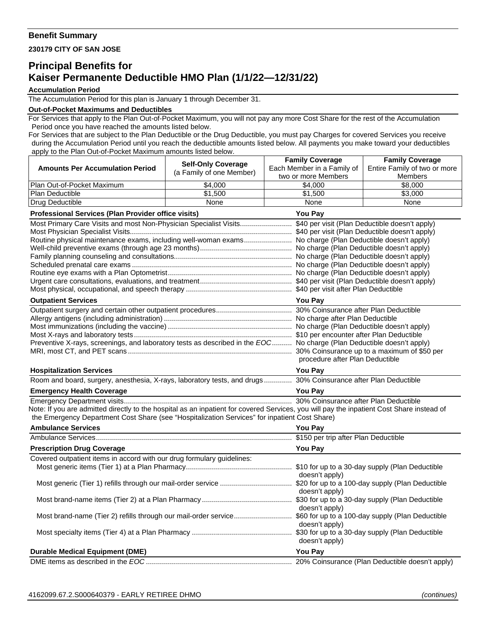## **Benefit Summary**

**230179 CITY OF SAN JOSE** 

## **Principal Benefits for Kaiser Permanente Deductible HMO Plan (1/1/22—12/31/22)**

## **Accumulation Period**

The Accumulation Period for this plan is January 1 through December 31.

## **Out-of-Pocket Maximums and Deductibles**

For Services that apply to the Plan Out-of-Pocket Maximum, you will not pay any more Cost Share for the rest of the Accumulation Period once you have reached the amounts listed below.

For Services that are subject to the Plan Deductible or the Drug Deductible, you must pay Charges for covered Services you receive during the Accumulation Period until you reach the deductible amounts listed below. All payments you make toward your deductibles apply to the Plan Out-of-Pocket Maximum amounts listed below.

|                                                                                                                                           | <b>Self-Only Coverage</b>       | <b>Family Coverage</b>     | <b>Family Coverage</b>       |  |
|-------------------------------------------------------------------------------------------------------------------------------------------|---------------------------------|----------------------------|------------------------------|--|
| <b>Amounts Per Accumulation Period</b>                                                                                                    | (a Family of one Member)        | Each Member in a Family of | Entire Family of two or more |  |
|                                                                                                                                           |                                 | two or more Members        | <b>Members</b>               |  |
| Plan Out-of-Pocket Maximum                                                                                                                | \$4,000                         | \$4,000                    | \$8,000                      |  |
| Plan Deductible                                                                                                                           | \$1,500                         | \$1,500                    | \$3,000                      |  |
| Drug Deductible                                                                                                                           | None                            | None                       | None                         |  |
| <b>Professional Services (Plan Provider office visits)</b><br>You Pay                                                                     |                                 |                            |                              |  |
| Most Primary Care Visits and most Non-Physician Specialist Visits \$40 per visit (Plan Deductible doesn't apply)                          |                                 |                            |                              |  |
| Routine physical maintenance exams, including well-woman exams No charge (Plan Deductible doesn't apply)                                  |                                 |                            |                              |  |
|                                                                                                                                           |                                 |                            |                              |  |
|                                                                                                                                           |                                 |                            |                              |  |
|                                                                                                                                           |                                 |                            |                              |  |
|                                                                                                                                           |                                 |                            |                              |  |
|                                                                                                                                           |                                 |                            |                              |  |
|                                                                                                                                           |                                 |                            |                              |  |
| <b>Outpatient Services</b>                                                                                                                |                                 | <b>You Pay</b>             |                              |  |
|                                                                                                                                           |                                 |                            |                              |  |
|                                                                                                                                           |                                 |                            |                              |  |
|                                                                                                                                           |                                 |                            |                              |  |
| Preventive X-rays, screenings, and laboratory tests as described in the EOC No charge (Plan Deductible doesn't apply)                     |                                 |                            |                              |  |
|                                                                                                                                           |                                 |                            |                              |  |
|                                                                                                                                           | procedure after Plan Deductible |                            |                              |  |
| <b>Hospitalization Services</b>                                                                                                           |                                 | <b>You Pav</b>             |                              |  |
| Room and board, surgery, anesthesia, X-rays, laboratory tests, and drugs 30% Coinsurance after Plan Deductible                            |                                 |                            |                              |  |
| <b>Emergency Health Coverage</b>                                                                                                          |                                 | <b>You Pay</b>             |                              |  |
|                                                                                                                                           |                                 |                            |                              |  |
| Note: If you are admitted directly to the hospital as an inpatient for covered Services, you will pay the inpatient Cost Share instead of |                                 |                            |                              |  |
| the Emergency Department Cost Share (see "Hospitalization Services" for inpatient Cost Share)                                             |                                 |                            |                              |  |
| <b>Ambulance Services</b>                                                                                                                 |                                 | <b>You Pay</b>             |                              |  |
|                                                                                                                                           |                                 |                            |                              |  |
| <b>Prescription Drug Coverage</b>                                                                                                         |                                 | <b>You Pay</b>             |                              |  |
| Covered outpatient items in accord with our drug formulary guidelines:                                                                    |                                 |                            |                              |  |
|                                                                                                                                           |                                 |                            |                              |  |
|                                                                                                                                           |                                 | doesn't apply)             |                              |  |
|                                                                                                                                           |                                 | doesn't apply)             |                              |  |
|                                                                                                                                           |                                 |                            |                              |  |
|                                                                                                                                           |                                 | doesn't apply)             |                              |  |
|                                                                                                                                           |                                 |                            |                              |  |
|                                                                                                                                           |                                 | doesn't apply)             |                              |  |
|                                                                                                                                           |                                 |                            |                              |  |
|                                                                                                                                           |                                 | doesn't apply)             |                              |  |
| <b>Durable Medical Equipment (DME)</b>                                                                                                    |                                 | <b>You Pay</b>             |                              |  |
|                                                                                                                                           |                                 |                            |                              |  |